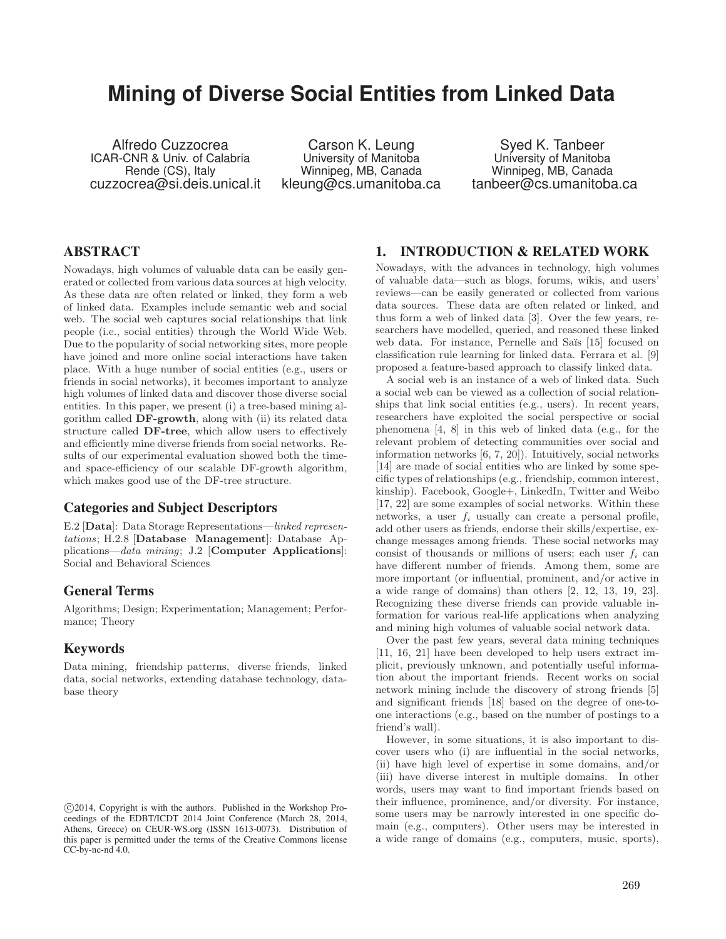# **Mining of Diverse Social Entities from Linked Data**

Alfredo Cuzzocrea ICAR-CNR & Univ. of Calabria Rende (CS), Italy cuzzocrea@si.deis.unical.it

Carson K. Leung University of Manitoba Winnipeg, MB, Canada kleung@cs.umanitoba.ca

Syed K. Tanbeer University of Manitoba Winnipeg, MB, Canada tanbeer@cs.umanitoba.ca

# ABSTRACT

Nowadays, high volumes of valuable data can be easily generated or collected from various data sources at high velocity. As these data are often related or linked, they form a web of linked data. Examples include semantic web and social web. The social web captures social relationships that link people (i.e., social entities) through the World Wide Web. Due to the popularity of social networking sites, more people have joined and more online social interactions have taken place. With a huge number of social entities (e.g., users or friends in social networks), it becomes important to analyze high volumes of linked data and discover those diverse social entities. In this paper, we present (i) a tree-based mining algorithm called DF-growth, along with (ii) its related data structure called DF-tree, which allow users to effectively and efficiently mine diverse friends from social networks. Results of our experimental evaluation showed both the timeand space-efficiency of our scalable DF-growth algorithm, which makes good use of the DF-tree structure.

## Categories and Subject Descriptors

E.2 [Data]: Data Storage Representations—*linked representations*; H.2.8 [Database Management]: Database Applications—*data mining*; J.2 [Computer Applications]: Social and Behavioral Sciences

### General Terms

Algorithms; Design; Experimentation; Management; Performance; Theory

### Keywords

Data mining, friendship patterns, diverse friends, linked data, social networks, extending database technology, database theory

# 1. INTRODUCTION & RELATED WORK

Nowadays, with the advances in technology, high volumes of valuable data—such as blogs, forums, wikis, and users' reviews—can be easily generated or collected from various data sources. These data are often related or linked, and thus form a web of linked data [3]. Over the few years, researchers have modelled, queried, and reasoned these linked web data. For instance, Pernelle and Saïs [15] focused on classification rule learning for linked data. Ferrara et al. [9] proposed a feature-based approach to classify linked data.

A social web is an instance of a web of linked data. Such a social web can be viewed as a collection of social relationships that link social entities (e.g., users). In recent years, researchers have exploited the social perspective or social phenomena [4, 8] in this web of linked data (e.g., for the relevant problem of detecting communities over social and information networks [6, 7, 20]). Intuitively, social networks [14] are made of social entities who are linked by some specific types of relationships (e.g., friendship, common interest, kinship). Facebook, Google+, LinkedIn, Twitter and Weibo [17, 22] are some examples of social networks. Within these networks, a user *f<sup>i</sup>* usually can create a personal profile, add other users as friends, endorse their skills/expertise, exchange messages among friends. These social networks may consist of thousands or millions of users; each user *f<sup>i</sup>* can have different number of friends. Among them, some are more important (or influential, prominent, and/or active in a wide range of domains) than others [2, 12, 13, 19, 23]. Recognizing these diverse friends can provide valuable information for various real-life applications when analyzing and mining high volumes of valuable social network data.

Over the past few years, several data mining techniques [11, 16, 21] have been developed to help users extract implicit, previously unknown, and potentially useful information about the important friends. Recent works on social network mining include the discovery of strong friends [5] and significant friends [18] based on the degree of one-toone interactions (e.g., based on the number of postings to a friend's wall).

However, in some situations, it is also important to discover users who (i) are influential in the social networks, (ii) have high level of expertise in some domains, and/or (iii) have diverse interest in multiple domains. In other words, users may want to find important friends based on their influence, prominence, and/or diversity. For instance, some users may be narrowly interested in one specific domain (e.g., computers). Other users may be interested in a wide range of domains (e.g., computers, music, sports),

c 2014, Copyright is with the authors. Published in the Workshop Proceedings of the EDBT/ICDT 2014 Joint Conference (March 28, 2014, Athens, Greece) on CEUR-WS.org (ISSN 1613-0073). Distribution of this paper is permitted under the terms of the Creative Commons license CC-by-nc-nd 4.0.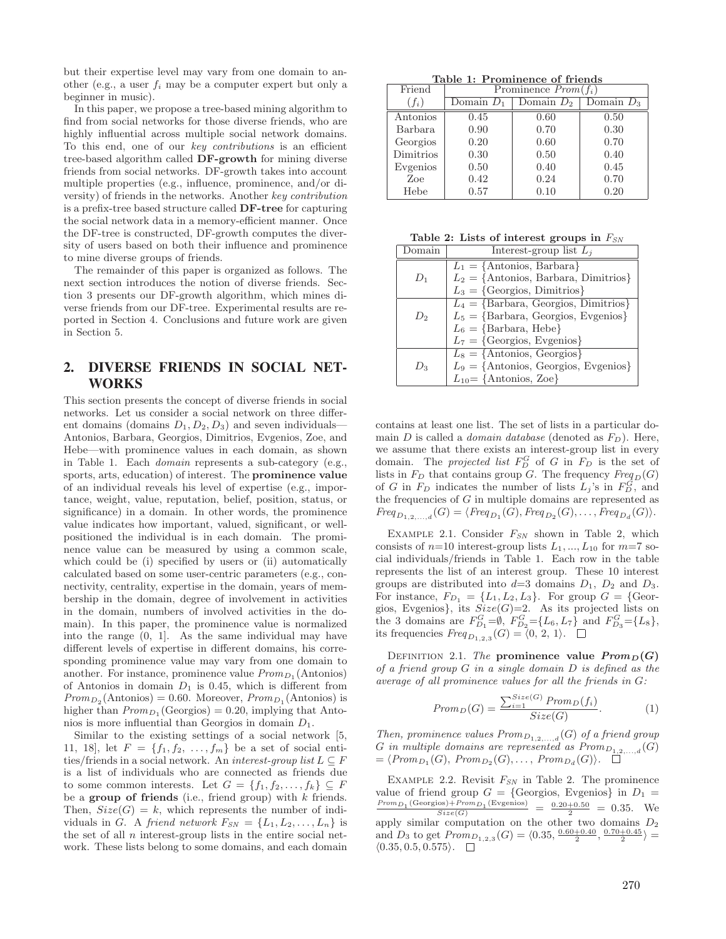but their expertise level may vary from one domain to another (e.g., a user *f<sup>i</sup>* may be a computer expert but only a beginner in music).

In this paper, we propose a tree-based mining algorithm to find from social networks for those diverse friends, who are highly influential across multiple social network domains. To this end, one of our *key contributions* is an efficient tree-based algorithm called DF-growth for mining diverse friends from social networks. DF-growth takes into account multiple properties (e.g., influence, prominence, and/or diversity) of friends in the networks. Another *key contribution* is a prefix-tree based structure called DF-tree for capturing the social network data in a memory-efficient manner. Once the DF-tree is constructed, DF-growth computes the diversity of users based on both their influence and prominence to mine diverse groups of friends.

The remainder of this paper is organized as follows. The next section introduces the notion of diverse friends. Section 3 presents our DF-growth algorithm, which mines diverse friends from our DF-tree. Experimental results are reported in Section 4. Conclusions and future work are given in Section 5.

# 2. DIVERSE FRIENDS IN SOCIAL NET-WORKS

This section presents the concept of diverse friends in social networks. Let us consider a social network on three different domains (domains *D*1*, D*2*, D*3) and seven individuals— Antonios, Barbara, Georgios, Dimitrios, Evgenios, Zoe, and Hebe—with prominence values in each domain, as shown in Table 1. Each *domain* represents a sub-category (e.g., sports, arts, education) of interest. The prominence value of an individual reveals his level of expertise (e.g., importance, weight, value, reputation, belief, position, status, or significance) in a domain. In other words, the prominence value indicates how important, valued, significant, or wellpositioned the individual is in each domain. The prominence value can be measured by using a common scale, which could be (i) specified by users or (ii) automatically calculated based on some user-centric parameters (e.g., connectivity, centrality, expertise in the domain, years of membership in the domain, degree of involvement in activities in the domain, numbers of involved activities in the domain). In this paper, the prominence value is normalized into the range (0, 1]. As the same individual may have different levels of expertise in different domains, his corresponding prominence value may vary from one domain to another. For instance, prominence value  $Prom_{D_1}(\text{Antonios})$ of Antonios in domain  $D_1$  is 0.45, which is different from  $Prom_{D_2}(\text{Antonios}) = 0.60. \text{ Moreover, } Prom_{D_1}(\text{Antonios})$  is higher than  $Prom_{D_1}$  (Georgios) = 0.20, implying that Antonios is more influential than Georgios in domain *D*1.

Similar to the existing settings of a social network [5, 11, 18], let  $F = \{f_1, f_2, ..., f_m\}$  be a set of social entities/friends in a social network. An *interest-group list*  $L \subseteq F$ is a list of individuals who are connected as friends due to some common interests. Let  $G = \{f_1, f_2, \ldots, f_k\} \subseteq F$ be a group of friends (i.e., friend group) with *k* friends. Then,  $Size(G) = k$ , which represents the number of individuals in *G*. A *friend network*  $F_{SN} = \{L_1, L_2, \ldots, L_n\}$  is the set of all *n* interest-group lists in the entire social network. These lists belong to some domains, and each domain

Table 1: Prominence of friends

| Friend    |              | Prominence $Prom(f_i)$ |              |
|-----------|--------------|------------------------|--------------|
| $f_i$ )   | Domain $D_1$ | Domain $D_2$           | Domain $D_3$ |
| Antonios  | 0.45         | 0.60                   | 0.50         |
| Barbara   | 0.90         | 0.70                   | 0.30         |
| Georgios  | 0.20         | 0.60                   | 0.70         |
| Dimitrios | 0.30         | 0.50                   | 0.40         |
| Evgenios  | 0.50         | 0.40                   | 0.45         |
| Zoe       | 0.42         | 0.24                   | 0.70         |
| Hebe      | 0.57         | 0.10                   | 0.20         |

Table 2: Lists of interest groups in *FSN*

| )omain | Interest-group list $L_i$                         |
|--------|---------------------------------------------------|
|        | $L_1 = \{ \text{Antonios, Barbara} \}$            |
| $U_1$  | $L_2 = \{ \text{Antonios, Barbara, Dimitrios} \}$ |
|        | $L_3 = \{Georgios, Dimitrios\}$                   |
|        | $L_4 = \{Barbara, Georgios, Dimitrios\}$          |
| $D_2$  | $L_5 = {Barbara, Georgios, Evgenios}$             |
|        | $L_6 = \{Barbara, Hebe\}$                         |
|        | $L_7 = \{Georgios, Evgenios\}$                    |
|        | $L_8 = \{$ Antonios, Georgios}                    |
| Do     | $L_9 = \{Antonios, Georgios, Evgenios\}$          |
|        | $L_{10} = \{Antonios, Zoe\}$                      |

contains at least one list. The set of lists in a particular domain *D* is called a *domain database* (denoted as *FD*). Here, we assume that there exists an interest-group list in every domain. The *projected list*  $F_D^G$  of  $G$  in  $F_D$  is the set of lists in  $F_D$  that contains group *G*. The frequency  $Freq_D(G)$ of *G* in  $F_D$  indicates the number of lists  $L_j$ 's in  $F_D^G$ , and the frequencies of *G* in multiple domains are represented as  $Freq_{D_1,2,...,d}(G) = \langle Freq_{D_1}(G), Freq_{D_2}(G), \ldots, Freq_{D_d}(G) \rangle.$ 

Example 2.1. Consider *FSN* shown in Table 2, which consists of  $n=10$  interest-group lists  $L_1, ..., L_{10}$  for  $m=7$  social individuals/friends in Table 1. Each row in the table represents the list of an interest group. These 10 interest groups are distributed into  $d=3$  domains  $D_1$ ,  $D_2$  and  $D_3$ . For instance,  $F_{D_1} = \{L_1, L_2, L_3\}$ . For group  $G = \{\text{Geor-}$ gios, Evgenios*}*, its *Size*(*G*)=2. As its projected lists on the 3 domains are  $F_{D_1}^G = \emptyset$ ,  $F_{D_2}^G = \{L_6, L_7\}$  and  $F_{D_3}^G = \{L_8\}$ , its frequencies  $Freq_{D_{1,2,3}}(G) = \langle 0, 2, 1 \rangle.$ 

DEFINITION 2.1. *The* prominence value  $Prom_D(G)$ *of a friend group G in a single domain D is defined as the average of all prominence values for all the friends in G:*

$$
Prom_D(G) = \frac{\sum_{i=1}^{Size(G)} Prom_D(f_i)}{Size(G)}.
$$
 (1)

*Then, prominence values*  $Prom_{D_{1,2,...,d}}(G)$  *of a friend group G in multiple domains are represented as*  $Prom_{D_{1,2,...,d}}(G)$  $= \langle Prom_{D_1}(G), Prom_{D_2}(G), \ldots, Prom_{D_d}(G) \rangle. \quad \Box$ 

EXAMPLE 2.2. Revisit  $F_{SN}$  in Table 2. The prominence value of friend group  $G = \{ \text{Georgios}, \text{Eygenios} \}$  in  $D_1 =$ value of friend group  $G = \{\text{Georgios, Evgenios}\}\$  in  $D_1 = \frac{Prom_{D_1}(\text{Georgios})+Prom_{D_1}(\text{Evgenios})}{Size(G)} = \frac{0.20+0.50}{2} = 0.35$ . We apply similar computation on the other two domains  $D_2$ and  $D_3$  to get  $Prom_{D_{1,2,3}}(G) = \langle 0.35, \frac{0.60+0.40}{2}, \frac{0.70+0.45}{2} \rangle =$  $\langle 0.35, 0.5, 0.575 \rangle$ .  $\Box$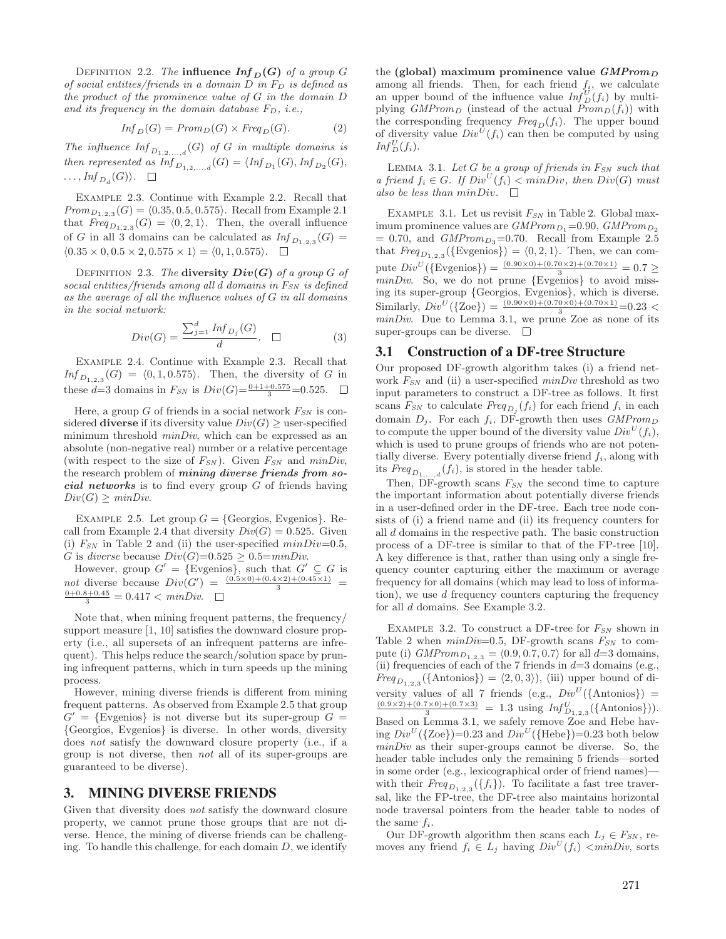DEFINITION 2.2. *The* influence  $Inf_D(G)$  of a group  $G$ *of social entities/friends in a domain D in F<sup>D</sup> is defined as the product of the prominence value of G in the domain D and its frequency in the domain database FD, i.e.,*

$$
Inf_D(G) = \text{Prom}_D(G) \times \text{Freq}_D(G). \tag{2}
$$

*The influence*  $\text{Inf}_{D_{1,2,...,d}}(G)$  *of <i>G in multiple domains is then represented as*  $Inf_{D_1, 2, ..., d}(G) = \langle Inf_{D_1}(G), Inf_{D_2}(G),$  $\ldots$ *,Inf*<sub>*D*</sub><sub>*d*</sub>(*G*)).  $\Box$ 

Example 2.3. Continue with Example 2.2. Recall that *Prom*<sub>*D*1*,*2*,*3 (*G*) =  $\langle 0.35, 0.5, 0.575 \rangle$ . Recall from Example 2.1</sub> that  $Freq_{D_1,2,3}(G) = \langle 0,2,1 \rangle$ . Then, the overall influence of *G* in all 3 domains can be calculated as  $Inf_{D_{1,2,3}}(G)$  =  $\langle 0.35 \times 0, 0.5 \times 2, 0.575 \times 1 \rangle = \langle 0, 1, 0.575 \rangle$ .

DEFINITION 2.3. *The* diversity  $Div(G)$  of a group  $G$  of *social entities/friends among all d domains in FSN is defined as the average of all the influence values of G in all domains in the social network:*

$$
Div(G) = \frac{\sum_{j=1}^{d} Inf_{D_j}(G)}{d}.
$$
 (3)

Example 2.4. Continue with Example 2.3. Recall that  $Inf_{D_{1,2,3}}(G) = \langle 0, 1, 0.575 \rangle$ . Then, the diversity of *G* in these  $d=3$  domains in  $F_{SN}$  is  $Div(G) = \frac{0+1+0.575}{3} = 0.525$ .

Here, a group *G* of friends in a social network *FSN* is considered **diverse** if its diversity value  $Div(G) \ge$  user-specified minimum threshold *minDiv*, which can be expressed as an absolute (non-negative real) number or a relative percentage (with respect to the size of  $F_{SN}$ ). Given  $F_{SN}$  and  $minDiv$ , the research problem of *mining diverse friends from social networks* is to find every group *G* of friends having  $Div(G) > minDiv.$ 

EXAMPLE 2.5. Let group  $G = \{Georgios, Evgenios\}$ . Recall from Example 2.4 that diversity  $Div(G) = 0.525$ . Given (i)  $F_{SN}$  in Table 2 and (ii) the user-specified  $minDiv=0.5$ , *G* is *diverse* because  $Div(G)=0.525 \geq 0.5=minDiv$ .

However, group  $G' = \{\text{Evgenios}\}\}$ , such that  $G' \subseteq G$  is *not* diverse because  $Div(G') = \frac{(0.5 \times 0) + (0.4 \times 2) + (0.45 \times 1)}{3} = 0 + 0.8 + 0.45 = 0.417 \times minDiv$  $\frac{0+0.8+0.45}{3} = 0.417 < minDiv.$ 

Note that, when mining frequent patterns, the frequency/ support measure [1, 10] satisfies the downward closure property (i.e., all supersets of an infrequent patterns are infrequent). This helps reduce the search/solution space by pruning infrequent patterns, which in turn speeds up the mining process.

However, mining diverse friends is different from mining frequent patterns. As observed from Example 2.5 that group  $G' = \{Evgenios\}$  is not diverse but its super-group  $G =$ *{*Georgios, Evgenios*}* is diverse. In other words, diversity does *not* satisfy the downward closure property (i.e., if a group is not diverse, then *not* all of its super-groups are guaranteed to be diverse).

### 3. MINING DIVERSE FRIENDS

Given that diversity does *not* satisfy the downward closure property, we cannot prune those groups that are not diverse. Hence, the mining of diverse friends can be challenging. To handle this challenge, for each domain *D*, we identify

the (global) maximum prominence value *GMProm<sup>D</sup>* among all friends. Then, for each friend  $f_i$ , we calculate an upper bound of the influence value  $Inf_D^U(f_i)$  by multiplying *GMProm<sub>D</sub>* (instead of the actual  $Prom_D(f_i)$ ) with the corresponding frequency  $Freq_D(f_i)$ . The upper bound of diversity value  $Div^U(f_i)$  can then be computed by using  $Inf_D^U(f_i)$ .

Lemma 3.1. *Let G be a group of friends in FSN such that a friend*  $f_i \in G$ *. If*  $Div^U(f_i) < minDiv$ *, then*  $Div(G)$  *must also be less than*  $minDiv.$   $\Box$ 

Example 3.1. Let us revisit *FSN* in Table 2. Global maximum prominence values are  $GMProm_{D_1}=0.90$ ,  $GMProm_{D_2}$  $= 0.70$ , and *GMProm*<sub>D<sub>3</sub>=0.70. Recall from Example 2.5</sub> that  $Freq_{D_{1,2,3}}({\text{Evgenios}}) = \langle 0, 2, 1 \rangle$ . Then, we can compute  $Div^U(\{\text{Evgenios}\}) = \frac{(0.90 \times 0) + (0.70 \times 2) + (0.70 \times 1)}{3} = 0.7 \ge$ *minDiv*. So, we do not prune *{*Evgenios*}* to avoid missing its super-group *{*Georgios, Evgenios*}*, which is diverse. Similarly,  $Div^U(\{2oe\}) = \frac{(0.90 \times 0) + (0.70 \times 0) + (0.70 \times 1)}{3} = 0.23$ *minDiv*. Due to Lemma 3.1, we prune Zoe as none of its super-groups can be diverse.  $\Box$ 

#### 3.1 Construction of a DF-tree Structure

Our proposed DF-growth algorithm takes (i) a friend network *FSN* and (ii) a user-specified *minDiv* threshold as two input parameters to construct a DF-tree as follows. It first scans  $F_{SN}$  to calculate  $Freq_{D_j}(f_i)$  for each friend  $f_i$  in each domain  $D_j$ . For each  $f_i$ , DF-growth then uses  $GMProm_D$ to compute the upper bound of the diversity value  $Div^U(f_i)$ , which is used to prune groups of friends who are not potentially diverse. Every potentially diverse friend  $f_i$ , along with its  $Freq_{D_1,...,d}(f_i)$ , is stored in the header table.

Then, DF-growth scans *FSN* the second time to capture the important information about potentially diverse friends in a user-defined order in the DF-tree. Each tree node consists of (i) a friend name and (ii) its frequency counters for all *d* domains in the respective path. The basic construction process of a DF-tree is similar to that of the FP-tree [10]. A key difference is that, rather than using only a single frequency counter capturing either the maximum or average frequency for all domains (which may lead to loss of information), we use *d* frequency counters capturing the frequency for all *d* domains. See Example 3.2.

Example 3.2. To construct a DF-tree for *FSN* shown in Table 2 when  $minDiv=0.5$ , DF-growth scans  $F_{SN}$  to compute (i) *GMProm*<sub>*D*<sub>1</sub>,<sub>2</sub>,<sub>3</sub></sub> =  $\langle 0.9, 0.7, 0.7 \rangle$  for all *d*=3 domains, (ii) frequencies of each of the 7 friends in  $d=3$  domains (e.g.,  $Freq_{D_{1,2,3}}(\{\text{Antonios}\}) = \langle 2,0,3 \rangle)$ , (iii) upper bound of diversity values of all 7 friends (e.g.,  $Div^U(\{\text{Antonios}\}) = \frac{(0.9 \times 2) + (0.7 \times 0) + (0.7 \times 3)}{3} = 1.3$  using  $Inf_{D_{1,2,3}}^U(\{\text{Antonios}\})$ . Based on Lemma 3.1, we safely remove Zoe and Hebe having  $Div^U(\{Zoe\})=0.23$  and  $Div^U(\{Hebe\})=0.23$  both below *minDiv* as their super-groups cannot be diverse. So, the header table includes only the remaining 5 friends—sorted in some order (e.g., lexicographical order of friend names) with their  $Freq_{D_{1,2,3}}(\lbrace f_i \rbrace)$ . To facilitate a fast tree traversal, like the FP-tree, the DF-tree also maintains horizontal node traversal pointers from the header table to nodes of the same  $f_i$ .

Our DF-growth algorithm then scans each  $L_j \in F_{SN}$ , removes any friend  $f_i \in L_j$  having  $Div^U(f_i) < minDiv$ , sorts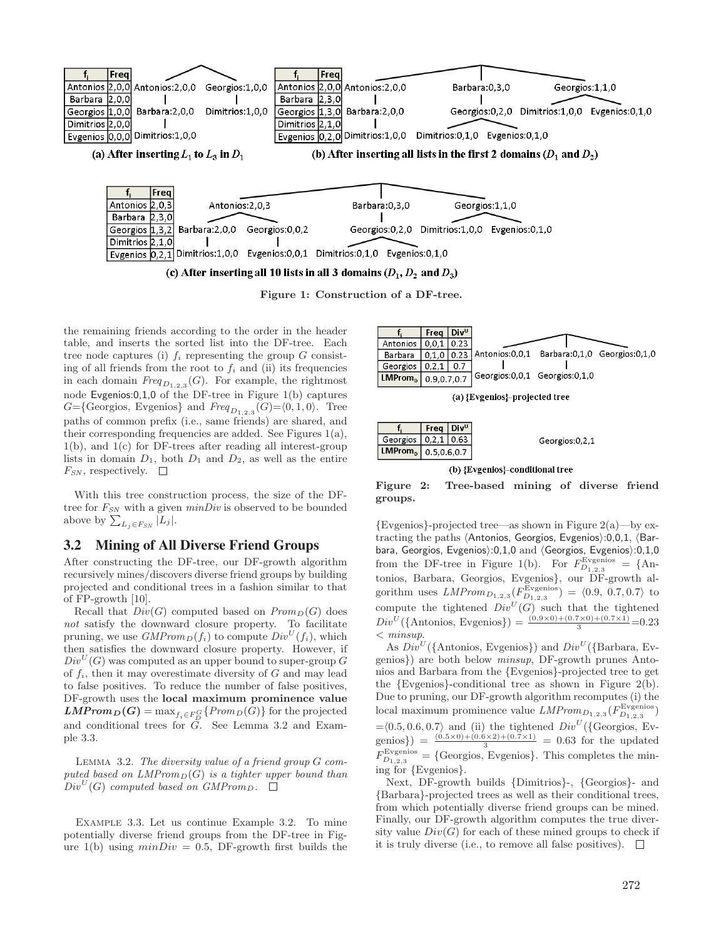

Figure 1: Construction of a DF-tree.

the remaining friends according to the order in the header table, and inserts the sorted list into the DF-tree. Each tree node captures (i)  $f_i$  representing the group  $G$  consisting of all friends from the root to  $f_i$  and (ii) its frequencies in each domain  $Freq_{D_{1,2,3}}(G)$ . For example, the rightmost node Evgenios:0,1,0 of the DF-tree in Figure 1(b) captures *G*={Georgios, Evgenios} and *Freq*<sub>*D*<sub>1,2,3</sub></sub> (*G*)= $\langle 0, 1, 0 \rangle$ . Tree paths of common prefix (i.e., same friends) are shared, and their corresponding frequencies are added. See Figures 1(a), 1(b), and 1(c) for DF-trees after reading all interest-group lists in domain  $D_1$ , both  $D_1$  and  $D_2$ , as well as the entire  $F_{SN}$ , respectively.  $\square$ 

With this tree construction process, the size of the DFtree for *FSN* with a given *minDiv* is observed to be bounded above by  $\sum_{L_j \in F_{SN}} |L_j|$ .

### 3.2 Mining of All Diverse Friend Groups

After constructing the DF-tree, our DF-growth algorithm recursively mines/discovers diverse friend groups by building projected and conditional trees in a fashion similar to that of FP-growth [10].

Recall that  $Div(G)$  computed based on  $Prom_D(G)$  does *not* satisfy the downward closure property. To facilitate pruning, we use  $GMProm_D(f_i)$  to compute  $Div^U(f_i)$ , which then satisfies the downward closure property. However, if  $Div<sup>U</sup>(G)$  was computed as an upper bound to super-group *G* of *fi*, then it may overestimate diversity of *G* and may lead to false positives. To reduce the number of false positives, DF-growth uses the local maximum prominence value  $LMProm_D(G) = \max_{f_i \in F_D^G} \{Prom_D(G)\}$  for the projected and conditional trees for *G*. See Lemma 3.2 and Example 3.3.

Lemma 3.2. *The diversity value of a friend group G computed based on LMPromD*(*G*) *is a tighter upper bound than*  $Div^U(G)$  *computed based on GMProm<sub>D</sub>.*  $\square$ 

Example 3.3. Let us continue Example 3.2. To mine potentially diverse friend groups from the DF-tree in Figure 1(b) using  $minDiv = 0.5$ , DF-growth first builds the

|                          | Freq $ Div^{\text{U}} $ |                                                           |  |
|--------------------------|-------------------------|-----------------------------------------------------------|--|
| Antonios   0,0,1   0.23  |                         |                                                           |  |
| Barbara                  |                         | 0,1,0 0.23 Antonios: 0,0,1 Barbara: 0,1,0 Georgios: 0,1,0 |  |
| Georgios   $0,2,1$   0.7 |                         |                                                           |  |
| $LMPromD$ 0.9,0.7,0.7    |                         | Georgios:0,0,1 Georgios:0,1,0                             |  |

(a) {Evgenios}-projected tree

|                                 | $ $ Freq $ $ Div <sup>u</sup> $ $ |  |
|---------------------------------|-----------------------------------|--|
| Georgios   0,2,1   0.63         |                                   |  |
| LMProm <sub>p</sub> 0.5,0.6,0.7 |                                   |  |

#### (b) {Evgenios}-conditional tree

Figure 2: Tree-based mining of diverse friend groups.

*{*Evgenios*}*-projected tree—as shown in Figure 2(a)—by extracting the paths  $\Delta$ ntonios, Georgios, Evgenios $\geq 0,0,1$ ,  $\Delta$ Barbara, Georgios, Evgenios):0,1,0 and  $\langle Georgios, Exgenios\rangle:0,1,0$ from the DF-tree in Figure 1(b). For  $F_{D_{1,2,3}}^{\text{Evgenios}} = \{ \text{An-} \}$ tonios, Barbara, Georgios, Evgenios*}*, our DF-growth algorithm uses  $LMProm_{D_{1,2,3}}(F_{D_{1,2,3}}^{\text{Evgenios}}) = \langle 0.9, 0.7, 0.7 \rangle$  to compute the tightened  $Div^U(G)$  such that the tightened  $Div^U$ ({Antonios, Evgenios}) =  $\frac{(0.9 \times 0) + (0.7 \times 0) + (0.7 \times 1)}{3}$  = 0.23 *< minsup*.

As  $Div^U$  ({Antonios, Evgenios}) and  $Div^U$  ({Barbara, Evgenios*}*) are both below *minsup*, DF-growth prunes Antonios and Barbara from the *{*Evgenios*}*-projected tree to get the *{*Evgenios*}*-conditional tree as shown in Figure 2(b). Due to pruning, our DF-growth algorithm recomputes (i) the  $\text{local maximum prominence value } LMProm_{D_{1,2,3}}(F_{D_{1,2,3}}^{\text{Evgenios}})$  $=\langle 0.5, 0.6, 0.7 \rangle$  and (ii) the tightened  $Div<sup>U</sup>(\{\text{Georgios, Ev-}$ genios}) =  $\frac{(0.5\times0)+(0.6\times2)+(0.7\times1)}{3}$  = 0.63 for the updated  $F_{D_{1,2,3}}^{\text{Evgenios}} =$  {Georgios, Evgenios}. This completes the mining for *{*Evgenios*}*.

Next, DF-growth builds *{*Dimitrios*}*-, *{*Georgios*}*- and *{*Barbara*}*-projected trees as well as their conditional trees, from which potentially diverse friend groups can be mined. Finally, our DF-growth algorithm computes the true diversity value  $Div(G)$  for each of these mined groups to check if it is truly diverse (i.e., to remove all false positives).  $\Box$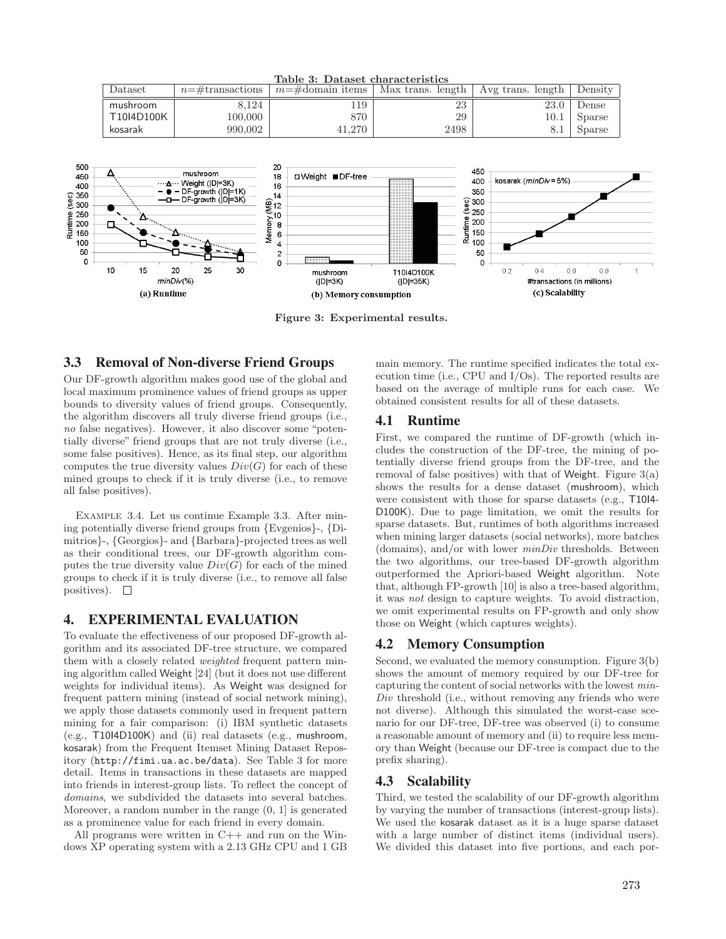

Figure 3: Experimental results.

# 3.3 Removal of Non-diverse Friend Groups

Our DF-growth algorithm makes good use of the global and local maximum prominence values of friend groups as upper bounds to diversity values of friend groups. Consequently, the algorithm discovers all truly diverse friend groups (i.e., *no* false negatives). However, it also discover some "potentially diverse" friend groups that are not truly diverse (i.e., some false positives). Hence, as its final step, our algorithm computes the true diversity values  $Div(G)$  for each of these mined groups to check if it is truly diverse (i.e., to remove all false positives).

Example 3.4. Let us continue Example 3.3. After mining potentially diverse friend groups from *{*Evgenios*}*-, *{*Dimitrios*}*-, *{*Georgios*}*- and *{*Barbara*}*-projected trees as well as their conditional trees, our DF-growth algorithm computes the true diversity value  $Div(G)$  for each of the mined groups to check if it is truly diverse (i.e., to remove all false positives).  $\square$ 

### 4. EXPERIMENTAL EVALUATION

To evaluate the effectiveness of our proposed DF-growth algorithm and its associated DF-tree structure, we compared them with a closely related *weighted* frequent pattern mining algorithm called Weight  $[24]$  (but it does not use different weights for individual items). As Weight was designed for frequent pattern mining (instead of social network mining), we apply those datasets commonly used in frequent pattern mining for a fair comparison: (i) IBM synthetic datasets (e.g., T10I4D100K) and (ii) real datasets (e.g., mushroom, kosarak) from the Frequent Itemset Mining Dataset Repository (http://fimi.ua.ac.be/data). See Table 3 for more detail. Items in transactions in these datasets are mapped into friends in interest-group lists. To reflect the concept of *domains*, we subdivided the datasets into several batches. Moreover, a random number in the range (0, 1] is generated as a prominence value for each friend in every domain.

All programs were written in C++ and run on the Windows XP operating system with a 2.13 GHz CPU and 1 GB main memory. The runtime specified indicates the total execution time (i.e., CPU and I/Os). The reported results are based on the average of multiple runs for each case. We obtained consistent results for all of these datasets.

### 4.1 Runtime

First, we compared the runtime of DF-growth (which includes the construction of the DF-tree, the mining of potentially diverse friend groups from the DF-tree, and the removal of false positives) with that of Weight. Figure  $3(a)$ shows the results for a dense dataset (mushroom), which were consistent with those for sparse datasets (e.g., T10I4- D100K). Due to page limitation, we omit the results for sparse datasets. But, runtimes of both algorithms increased when mining larger datasets (social networks), more batches (domains), and/or with lower *minDiv* thresholds. Between the two algorithms, our tree-based DF-growth algorithm outperformed the Apriori-based Weight algorithm. Note that, although FP-growth [10] is also a tree-based algorithm, it was *not* design to capture weights. To avoid distraction, we omit experimental results on FP-growth and only show those on Weight (which captures weights).

# 4.2 Memory Consumption

Second, we evaluated the memory consumption. Figure 3(b) shows the amount of memory required by our DF-tree for capturing the content of social networks with the lowest *min-Div* threshold (i.e., without removing any friends who were not diverse). Although this simulated the worst-case scenario for our DF-tree, DF-tree was observed (i) to consume a reasonable amount of memory and (ii) to require less memory than Weight (because our DF-tree is compact due to the prefix sharing).

### 4.3 Scalability

Third, we tested the scalability of our DF-growth algorithm by varying the number of transactions (interest-group lists). We used the kosarak dataset as it is a huge sparse dataset with a large number of distinct items (individual users). We divided this dataset into five portions, and each por